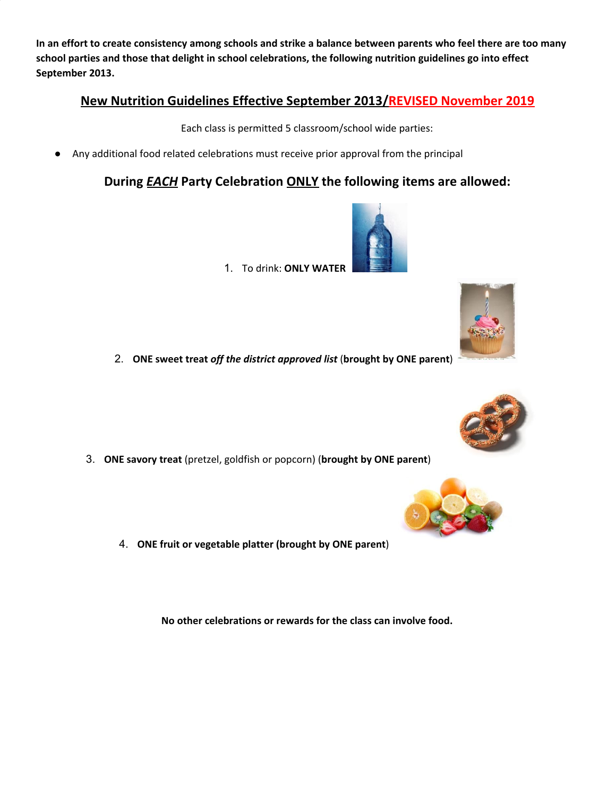In an effort to create consistency among schools and strike a balance between parents who feel there are too many **school parties and those that delight in school celebrations, the following nutrition guidelines go into effect September 2013.**

# **New Nutrition Guidelines Effective September 2013/REVISED November 2019**

Each class is permitted 5 classroom/school wide parties:

Any additional food related celebrations must receive prior approval from the principal

# **During** *EACH* **Party Celebration ONLY the following items are allowed:**

- 1. To drink: **ONLY WATER**
- 2. **ONE sweet treat** *off the district approved list* (**brought by ONE parent**)

3. **ONE savory treat** (pretzel, goldfish or popcorn) (**brought by ONE parent**)

4. **ONE fruit or vegetable platter (brought by ONE parent**)

**No other celebrations or rewards for the class can involve food.**